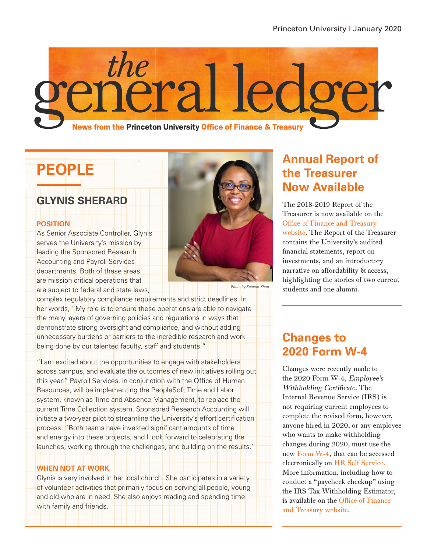

# **PEOPLE**

#### **GLYNIS SHERARD**

#### **POSITION**

As Senior Associate Controller, Glynis serves the University's mission by leading the Sponsored Research Accounting and Payroll Services departments. Both of these areas are mission critical operations that are subject to federal and state laws,



Photo by Sameer Khan

complex regulatory compliance requirements and strict deadlines. In her words, "My role is to ensure these operations are able to navigate the many layers of governing policies and regulations in ways that demonstrate strong oversight and compliance, and without adding unnecessary burdens or barriers to the incredible research and work being done by our talented faculty, staff and students."

"I am excited about the opportunities to engage with stakeholders across campus, and evaluate the outcomes of new initiatives rolling out this year." Payroll Services, in conjunction with the Office of Human Resources, will be implementing the PeopleSoft Time and Labor system, known as Time and Absence Management, to replace the current Time Collection system. Sponsored Research Accounting will initiate a two-year pilot to streamline the University's effort certification process. "Both teams have invested significant amounts of time and energy into these projects, and I look forward to celebrating the launches, working through the challenges, and building on the results."

#### **WHEN NOT AT WORK**

Glynis is very involved in her local church. She participates in a variety of volunteer activities that primarily focus on serving all people, young and old who are in need. She also enjoys reading and spending time with family and friends.

### **Annual Report of the Treasurer Now Available**

The 2018-2019 Report of the Treasurer is now available on the [Office of Finance and Treasury](https://finance.princeton.edu/report-treasurer)  [website.](https://finance.princeton.edu/report-treasurer) The Report of the Treasurer contains the University's audited financial statements, report on investments, and an introductory narrative on affordability & access, highlighting the stories of two current students and one alumni.

#### **Changes to 2020 Form W-4**

Changes were recently made to the 2020 Form W-4, Employee's Withholding Certificate. The Internal Revenue Service (IRS) is not requiring current employees to complete the revised form, however, anyone hired in 2020, or any employee who wants to make withholding changes during 2020, must use the new [Form W-4](https://www.irs.gov/pub/irs-pdf/fw4.pdf), that can be accessed electronically on [HR Self Service.](https://fed.princeton.edu/cas/login;jsessionid=F7AB5EC3B32E88DE2FDD6B2FD3784533?locale=en&service=https%3A%2F%2Fidp.princeton.edu%2Fidp%2FAuthn%2FExtCas%3Fconversation%3De1s1&entityId=https%3A%2F%2Fiamprox201l.princeton.edu%2Fshibboleth) More information, including how to conduct a "paycheck checkup" using the IRS Tax Withholding Estimator, is available on the [Office of Finance](https://finance.princeton.edu/announcements/2020/2020-form-w-4)  [and Treasury website.](https://finance.princeton.edu/announcements/2020/2020-form-w-4)